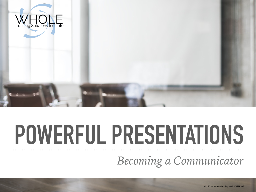

# **POWERFUL PRESENTATIONS**

*Becoming a Communicator*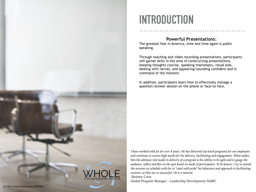

#### **INTRODUCTION**

#### **Powerful Presentations**:

The greatest fear in America, time and time again is public speaking.

Through teaching and video recording presentations, participants will garner skills in the area of constructing presentations, keeping thoughts concise, speaking impromptu, visual aids, dealing with nerves, and appearing/sounding confident and in command of the moment.

In addition, participants learn how to effectively manage a question/answer session on the phone or face-to-face.

*I have worked with Jer for over 8 years. He has delivered top notch programs for our employees and continues to receive high marks for his delivery, facilitating and engagement. What makes him the ultimate role model in delivery of a program is his ability to be agile and to gauge the audience, reflect and flex on the spot based on needs of participants. To be honest, I try to attend the sessions we schedule with Jer to "steal with pride" his behaviors and approach to facilitating sessions, as they are so successful. He is a natural.* 

-Rodney Coon

Global Program Manager - Leadership Development SABIC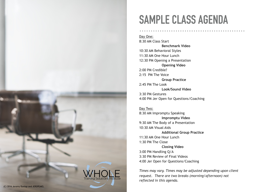

### **SAMPLE CLASS AGENDA**

Day One: 8:30 AM Class Start **Benchmark Video**  10:30 AM Behavioral Styles 11:30 AM One Hour Lunch 12:30 PM Opening a Presentation **Opening Video**  2:00 PM Credible? 2:15 PM The Voice **Group Practice**  2:45 PM The Look **Look/Sound Video**  3:30 PM Gestures 4:00 PM Jer Open for Questions/Coaching

Day Two: 8:30 AM Impromptu Speaking **Impromptu Video**  9:30 AM The Body of a Presentation 10:30 AM Visual Aids **Additional Group Practice**  11:30 AM One Hour Lunch 1:30 PM The Close **Closing Video**  3:00 PM Handling Q/A 3:30 PM Review of Final Videos 4:00 Jer Open for Questions/Coaching

*Times may vary. Times may be adjusted depending upon client request. There are two breaks (morning/afternoon) not reflected in this agenda.*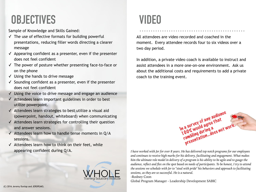### **OBJECTIVES**

Sample of Knowledge and Skills Gained:

- $\checkmark$  The use of effective formats for building powerful presentations, reducing filler words directing a clearer message
- $\checkmark$  Appearing confident as a presenter, even if the presenter does not feel confident
- ✓ The power of posture whether presenting face-to-face or on the phone
- ✓ Using the hands to drive message
- ✓ Sounding confident as a presenter, even if the presenter does not feel confident
- ✓ Using the voice to drive message and engage an audience
- ✓ Attendees learn important guidelines in order to best utilize powerpoint.
- ✓ Attendees learn strategies to best utilize a visual aid (powerpoint, handout, whiteboard) when communicating
- ✓ Attendees learn strategies for controlling their question and answer sessions.
- $\checkmark$  Attendees learn how to handle tense moments in Q/A sessions.
- ✓ Attendees learn how to think on their feet, while appearing confident during Q/A.



### **VIDEO**

All attendees are video recorded and coached in the moment. Every attendee records four to six videos over a two day period.

In addition, a private video coach is available to instruct and assist attendees in a more one-on-one environment. Ask us about the additional costs and requirements to add a private coach to the training event.



In a survey of any audience<br>In a survey of any audience<br>100% would agree that<br>rambling during a 100% would agree that

a survey dagree<br>JO% would agree<br>JO% would agree<br>ambling during a<br>presentation...does not work.<br>presentation...does

a a would ring a<br>00% Would ring a<br>rambling during a

-Rodney Coon

Global Program Manager - Leadership Development SABIC